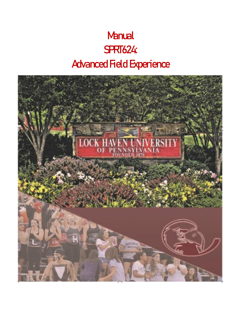# **Manual** SPRT624: Advanced Field Experience

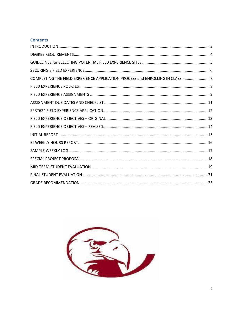## **Contents**

| COMPLETING THE FIELD EXPERIENCE APPLICATION PROCESS and ENROLLING IN CLASS  7 |  |
|-------------------------------------------------------------------------------|--|
|                                                                               |  |
|                                                                               |  |
|                                                                               |  |
|                                                                               |  |
|                                                                               |  |
|                                                                               |  |
|                                                                               |  |
|                                                                               |  |
|                                                                               |  |
|                                                                               |  |
|                                                                               |  |
|                                                                               |  |
|                                                                               |  |

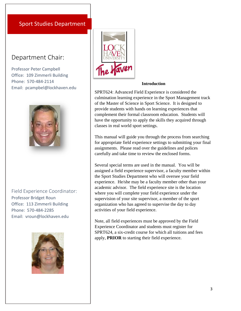# Sport Studies Department

# Department Chair:

Professor Peter Campbell Office: 109 Zimmerli Building Phone: 570-484-2114 Email: pcampbel@lockhaven.edu



Field Experience Coordinator: Professor Bridget Roun Office: 113 Zimmerli Building Phone: 570-484-2285 Email: vroun@lockhaven.edu





#### **Introduction**

SPRT624: Advanced Field Experience is considered the culmination learning experience in the Sport Management track of the Master of Science in Sport Science. It is designed to provide students with hands on learning experiences that complement their formal classroom education. Students will have the opportunity to apply the skills they acquired through classes in real world sport settings.

This manual will guide you through the process from searching for appropriate field experience settings to submitting your final assignments. Please read over the guidelines and polices carefully and take time to review the enclosed forms.

Several special terms are used in the manual. You will be assigned a field experience supervisor, a faculty member within the Sport Studies Department who will oversee your field experience. He/she may be a faculty member other than your academic advisor. The field experience site is the location where you will complete your field experience under the supervision of your site supervisor, a member of the sport organization who has agreed to supervise the day to day activities of your field experience.

Note, all field experiences must be approved by the Field Experience Coordinator and students must register for SPRT624, a six-credit course for which all tuitions and fees apply, **PRIOR** to starting their field experience.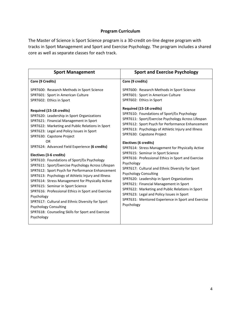## **Program Curriculum**

The Master of Science is Sport Science program is a 30-credit on-line degree program with tracks in Sport Management and Sport and Exercise Psychology. The program includes a shared core as well as separate classes for each track.

| <b>Sport Management</b>                                                                                                                                                                                                                                                                                                                                                                                                                                                                                                                                                                                                        | <b>Sport and Exercise Psychology</b>                                                                                                                                                                                                                                                                                                                                                                                                                                                                                                |
|--------------------------------------------------------------------------------------------------------------------------------------------------------------------------------------------------------------------------------------------------------------------------------------------------------------------------------------------------------------------------------------------------------------------------------------------------------------------------------------------------------------------------------------------------------------------------------------------------------------------------------|-------------------------------------------------------------------------------------------------------------------------------------------------------------------------------------------------------------------------------------------------------------------------------------------------------------------------------------------------------------------------------------------------------------------------------------------------------------------------------------------------------------------------------------|
| Core (9 Credits)                                                                                                                                                                                                                                                                                                                                                                                                                                                                                                                                                                                                               | Core (9 credits)                                                                                                                                                                                                                                                                                                                                                                                                                                                                                                                    |
| SPRT600: Research Methods in Sport Science<br>SPRT601: Sport in American Culture<br>SPRT602: Ethics in Sport<br>Required (15-18 credits)<br>SPRT620: Leadership in Sport Organizations                                                                                                                                                                                                                                                                                                                                                                                                                                         | SPRT600: Research Methods in Sport Science<br>SPRT601: Sport in American Culture<br>SPRT602: Ethics in Sport<br>Required (15-18 credits)<br>SPRT610: Foundations of Sport/Ex Psychology                                                                                                                                                                                                                                                                                                                                             |
| SPRT621: Financial Management in Sport<br>SPRT622: Marketing and Public Relations in Sport<br>SPRT623: Legal and Policy Issues in Sport<br>SPRT630: Capstone Project                                                                                                                                                                                                                                                                                                                                                                                                                                                           | SPRT611: Sport/Exercise Psychology Across Lifespan<br>SPRT612: Sport Psych for Performance Enhancement<br>SPRT613: Psychology of Athletic Injury and Illness<br>SPRT630: Capstone Project                                                                                                                                                                                                                                                                                                                                           |
| 0 <sub>R</sub><br>SPRT624: Advanced Field Experience (6 credits)<br>Electives (3-6 credits)<br>SPRT610: Foundations of Sport/Ex Psychology<br>SPRT611: Sport/Exercise Psychology Across Lifespan<br>SPRT612: Sport Psych for Performance Enhancement<br>SPRT613: Psychology of Athletic Injury and Illness<br>SPRT614: Stress Management for Physically Active<br>SPRT615: Seminar in Sport Science<br>SPRT616: Professional Ethics in Sport and Exercise<br>Psychology<br>SPRT617: Cultural and Ethnic Diversity for Sport<br><b>Psychology Consulting</b><br>SPRT618: Counseling Skills for Sport and Exercise<br>Psychology | Electives (6 credits)<br>SPRT614: Stress Management for Physically Active<br>SPRT615: Seminar in Sport Science<br>SPRT616: Professional Ethics in Sport and Exercise<br>Psychology<br>SPRT617: Cultural and Ethnic Diversity for Sport<br><b>Psychology Consulting</b><br>SPRT620: Leadership in Sport Organizations<br>SPRT621: Financial Management in Sport<br>SPRT622: Marketing and Public Relations in Sport<br>SPRT623: Legal and Policy Issues in Sport<br>SPRT631: Mentored Experience in Sport and Exercise<br>Psychology |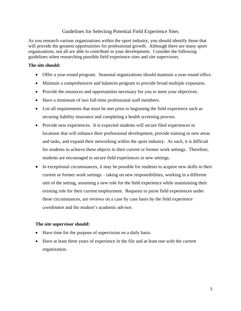## Guidelines for Selecting Potential Field Experience Sites

As you research various organizations within the sport industry, you should identify those that will provide the greatest opportunities for professional growth. Although there are many sport organizations, not all are able to contribute to your development. Consider the following guidelines when researching possible field experience sites and site supervisors.

#### **The site should:**

- Offer a year-round program. Seasonal organizations should maintain a year-round office.
- Maintain a comprehensive and balances program to provide broad multiple exposures.
- Provide the resources and opportunities necessary for you to meet your objectives.
- Have a minimum of two full-time professional staff members.
- List all requirements that must be met prior to beginning the field experience such as securing liability insurance and completing a health screening process.
- Provide new experiences. It is expected students will secure filed experiences in locations that will enhance their professional development, provide training in new areas and tasks, and expand their networking within the sport industry. As such, it is difficult for students to achieve these objects in their current or former work settings. Therefore, students are encouraged to secure field experiences in new settings.
- In exceptional circumstances, it may be possible for students to acquire new skills in their current or former work settings – taking on new responsibilities, working in a different unit of the setting, assuming a new role for the field experience while maintaining their existing role for their current employment. Requests to purse field experiences under these circumstances, are reviews on a case by case basis by the field experience coordinator and the student's academic advisor.

## **The site supervisor should:**

- Have time for the purpose of supervision on a daily basis.
- Have at least three years of experience in the file and at least one with the current organization.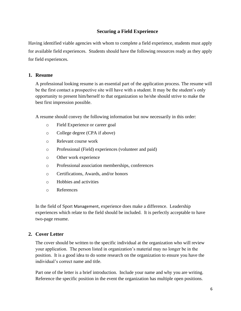## **Securing a Field Experience**

Having identified viable agencies with whom to complete a field experience, students must apply for available field experiences. Students should have the following resources ready as they apply for field experiences.

## **1. Resume**

A professional looking resume is an essential part of the application process. The resume will be the first contact a prospective site will have with a student. It may be the student's only opportunity to present him/herself to that organization so he/she should strive to make the best first impression possible.

A resume should convey the following information but now necessarily in this order:

- o Field Experience or career goal
- o College degree (CPA if above)
- o Relevant course work
- o Professional (Field) experiences (volunteer and paid)
- o Other work experience
- o Professional association memberships, conferences
- o Certifications, Awards, and/or honors
- o Hobbies and activities
- o References

In the field of Sport Management, experience does make a difference. Leadership experiences which relate to the field should be included. It is perfectly acceptable to have two-page resume.

## **2. Cover Letter**

The cover should be written to the specific individual at the organization who will review your application. The person listed in organization's material may no longer be in the position. It is a good idea to do some research on the organization to ensure you have the individual's correct name and title.

Part one of the letter is a brief introduction. Include your name and why you are writing. Reference the specific position in the event the organization has multiple open positions.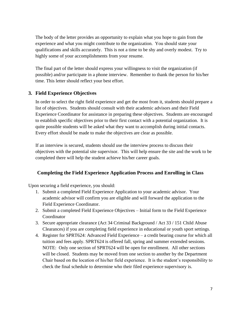The body of the letter provides an opportunity to explain what you hope to gain from the experience and what you might contribute to the organization. You should state your qualifications and skills accurately. This is not a time to be shy and overly modest. Try to highly some of your accomplishments from your resume.

The final part of the letter should express your willingness to visit the organization (if possible) and/or participate in a phone interview. Remember to thank the person for his/her time. This letter should reflect your best effort.

## **3. Field Experience Objectives**

In order to select the right field experience and get the most from it, students should prepare a list of objectives. Students should consult with their academic advisors and their Field Experience Coordinator for assistance in preparing these objectives. Students are encouraged to establish specific objectives prior to their first contact with a potential organization. It is quite possible students will be asked what they want to accomplish during initial contacts. Every effort should be made to make the objectives are clear as possible.

If an interview is secured, students should use the interview process to discuss their objectives with the potential site supervisor. This will help ensure the site and the work to be completed there will help the student achieve his/her career goals.

## **Completing the Field Experience Application Process and Enrolling in Class**

Upon securing a field experience, you should:

- 1. Submit a completed Field Experience Application to your academic advisor. Your academic advisor will confirm you are eligible and will forward the application to the Field Experience Coordinator.
- 2. Submit a completed Field Experience Objectives Initial form to the Field Experience **Coordinator**
- 3. Secure appropriate clearance (Act 34 Criminal Background / Act 33 / 151 Child Abuse Clearances) if you are completing field experience in educational or youth sport settings.
- 4. Register for SPRT624: Advanced Field Experience a credit bearing course for which all tuition and fees apply. SPRT624 is offered fall, spring and summer extended sessions. NOTE: Only one section of SPRT624 will be open for enrollment. All other sections will be closed. Students may be moved from one section to another by the Department Chair based on the location of his/her field experience. It is the student's responsibility to check the final schedule to determine who their filed experience supervisory is.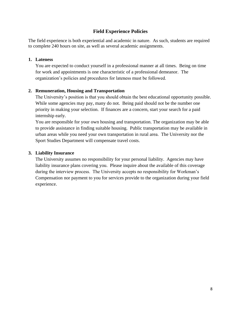## **Field Experience Policies**

The field experience is both experiential and academic in nature. As such, students are required to complete 240 hours on site, as well as several academic assignments.

#### **1. Lateness**

You are expected to conduct yourself in a professional manner at all times. Being on time for work and appointments is one characteristic of a professional demeanor. The organization's policies and procedures for lateness must be followed.

#### **2. Remuneration, Housing and Transportation**

The University's position is that you should obtain the best educational opportunity possible. While some agencies may pay, many do not. Being paid should not be the number one priority in making your selection. If finances are a concern, start your search for a paid internship early.

You are responsible for your own housing and transportation. The organization may be able to provide assistance in finding suitable housing. Public transportation may be available in urban areas while you need your own transportation in rural area. The University nor the Sport Studies Department will compensate travel costs.

#### **3. Liability Insurance**

The University assumes no responsibility for your personal liability. Agencies may have liability insurance plans covering you. Please inquire about the available of this coverage during the interview process. The University accepts no responsibility for Workman's Compensation nor payment to you for services provide to the organization during your field experience.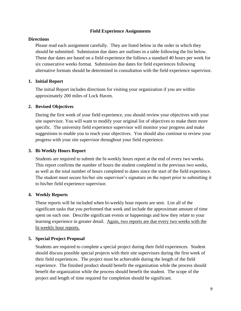#### **Field Experience Assignments**

#### **Directions**

Please read each assignment carefully. They are listed below in the order in which they should be submitted. Submission due dates are outlines in a table following the list below. These due dates are based on a field experience the follows a standard 40 hours per week for six consecutive weeks format. Submission due dates for field experiences following alternative formats should be determined in consultation with the field experience supervisor.

#### **1. Initial Report**

The initial Report includes directions for visiting your organization if you are within approximately 200 miles of Lock Haven.

#### **2. Revised Objectives**

During the first week of your field experience, you should review your objectives with your site supervisor. You will want to modify your original list of objectives to make them more specific. The university field experience supervisor will monitor your progress and make suggestions to enable you to reach your objectives. You should also continue to review your progress with your site supervisor throughout your field experience.

#### **3. Bi-Weekly Hours Report**

Students are required to submit the bi-weekly hours report at the end of every two weeks. This report confirms the number of hours the student completed in the previous two weeks, as well as the total number of hours completed to dates since the start of the field experience. The student must secure his/her site supervisor's signature on the report prior to submitting it to his/her field experience supervisor.

#### **4. Weekly Reports**

These reports will be included when bi-weekly hour reports are sent. List all of the significant tasks that you performed that week and include the approximate amount of time spent on each one. Describe significant events or happenings and how they relate to your learning experience in greater detail. Again, two reports are due every two weeks with the bi-weekly hour reports.

#### **5. Special Project Proposal**

Students are required to complete a special project during their field experiences. Student should discuss possible special projects with their site supervisors during the first week of their field experiences. The project must be achievable during the length of the field experience. The finished product should benefit the organization while the process should benefit the organization while the process should benefit the student. The scope of the project and length of time required for completion should be significant.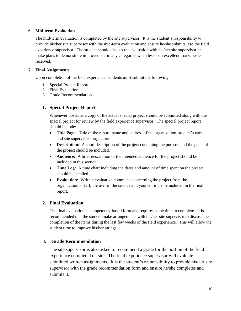#### **6. Mid-term Evaluation**

The mid-term evaluation is completed by the site supervisor. It is the student's responsibility to provide his/her site supervisor with the mid-term evaluation and ensure he/she submits it to the field experience supervisor. The student should discuss the evaluation with his/her site supervisor and make plans to demonstrate improvement in any categories when less than excellent marks were received.

#### **7. Final Assignments**

Upon completion of the field experience, students must submit the following:

- 1. Special Project Report
- 2. Final Evaluation
- 3. Grade Recommendation

## **1. Special Project Report:**

Whenever possible, a copy of the actual special project should be submitted along with the special project for review by the field experience supervisor. The special project report should include:

- **Title Page:** Title of the report, name and address of the organization, student's name, and site supervisor's signature.
- **Description:** A short description of the project containing the purpose and the goals of the project should be included.
- **Audience:** A brief description of the intended audience for the project should be included in this section.
- **Time Log:** A time chart including the dates and amount of time spent on the project should be detailed
- **Evaluation:** Written evaluative comments concerning the project from the organization's staff, the user of the service and yourself must be included in the final report.

## **2. Final Evaluation**

The final evaluation is competency-based form and requires some time to complete. It is recommended that the student make arrangements with his/her site supervisor to discuss the completion of the items during the last few weeks of the field experience. This will allow the student time to improve his/her ratings.

## **3. Grade Recommendation**

The site supervisor is also asked to recommend a grade for the portion of the field experience completed on site. The field experience supervisor will evaluate submitted written assignments. It is the student's responsibility to provide his/her site supervisor with the grade recommendation form and ensure he/she completes and submits it.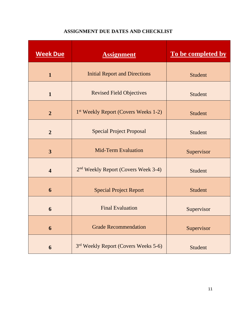# **ASSIGNMENT DUE DATES AND CHECKLIST**

| <b>Week Due</b>         | <b>Assignment</b>                                | To be completed by |
|-------------------------|--------------------------------------------------|--------------------|
| $\mathbf{1}$            | <b>Initial Report and Directions</b>             | <b>Student</b>     |
| $\mathbf{1}$            | <b>Revised Field Objectives</b>                  | Student            |
| $\overline{2}$          | 1 <sup>st</sup> Weekly Report (Covers Weeks 1-2) | <b>Student</b>     |
| $\overline{2}$          | <b>Special Project Proposal</b>                  | Student            |
| $\overline{3}$          | <b>Mid-Term Evaluation</b>                       | Supervisor         |
| $\overline{\mathbf{4}}$ | 2 <sup>nd</sup> Weekly Report (Covers Week 3-4)  | Student            |
| 6                       | <b>Special Project Report</b>                    | <b>Student</b>     |
| 6                       | <b>Final Evaluation</b>                          | Supervisor         |
| 6                       | <b>Grade Recommendation</b>                      | Supervisor         |
| 6                       | 3rd Weekly Report (Covers Weeks 5-6)             | Student            |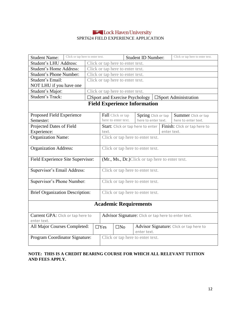## Lock Haven University SPRT624 FIELD EXPERIENCE APPLICATION

| Click or tap here to enter text.<br><b>Student Name:</b> |                                  |                                  |                                                  | <b>Student ID Number:</b> |                     | Click or tap here to enter text.                                         |
|----------------------------------------------------------|----------------------------------|----------------------------------|--------------------------------------------------|---------------------------|---------------------|--------------------------------------------------------------------------|
| Student's LHU Address:                                   |                                  | Click or tap here to enter text. |                                                  |                           |                     |                                                                          |
| <b>Student's Home Address:</b>                           |                                  | Click or tap here to enter text. |                                                  |                           |                     |                                                                          |
| <b>Student's Phone Number:</b>                           | Click or tap here to enter text. |                                  |                                                  |                           |                     |                                                                          |
| Student's Email:                                         | Click or tap here to enter text. |                                  |                                                  |                           |                     |                                                                          |
| NOT LHU if you have one                                  |                                  |                                  |                                                  |                           |                     |                                                                          |
| Student's Major:                                         |                                  | Click or tap here to enter text. |                                                  |                           |                     |                                                                          |
| <b>Student's Track:</b>                                  |                                  |                                  |                                                  |                           |                     | $\square$ Sport and Exercise Psychology   $\square$ Sport Administration |
|                                                          |                                  |                                  | <b>Field Experience Information</b>              |                           |                     |                                                                          |
| Proposed Field Experience<br>Semester:                   |                                  |                                  | Fall Click or tap<br>here to enter text.         | here to enter text.       | Spring Click or tap | <b>Summer</b> Click or tap<br>here to enter text.                        |
| Projected Dates of Field                                 |                                  |                                  |                                                  |                           |                     | Start: Click or tap here to enter   Finish: Click or tap here to         |
| Experience:                                              |                                  | text.                            |                                                  |                           |                     | enter text.                                                              |
| <b>Organization Name:</b>                                |                                  |                                  | Click or tap here to enter text.                 |                           |                     |                                                                          |
| <b>Organization Address:</b>                             |                                  |                                  | Click or tap here to enter text.                 |                           |                     |                                                                          |
| Field Experience Site Supervisor:                        |                                  |                                  | (Mr., Ms., Dr.) Click or tap here to enter text. |                           |                     |                                                                          |
| Supervisor's Email Address:                              |                                  |                                  | Click or tap here to enter text.                 |                           |                     |                                                                          |
| Supervisor's Phone Number:                               |                                  |                                  | Click or tap here to enter text.                 |                           |                     |                                                                          |
| Brief Organization Description:                          |                                  |                                  | Click or tap here to enter text.                 |                           |                     |                                                                          |
| <b>Academic Requirements</b>                             |                                  |                                  |                                                  |                           |                     |                                                                          |
| Current GPA: Click or tap here to<br>enter text.         |                                  |                                  |                                                  |                           |                     | Advisor Signature: Click or tap here to enter text.                      |
| All Major Courses Completed:                             |                                  | $\Box$ Yes                       | $\square$ No                                     | enter text.               |                     | Advisor Signature: Click or tap here to                                  |
| Program Coordinator Signature:                           |                                  |                                  | Click or tap here to enter text.                 |                           |                     |                                                                          |

## **NOTE: THIS IS A CREDIT BEARING COURSE FOR WHICH ALL RELEVANT TUITION AND FEES APPLY.**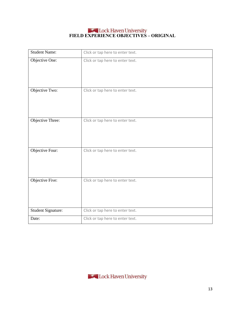# **FIELD EXPERIENCE OBJECTIVES – ORIGINAL**

| <b>Student Name:</b> | Click or tap here to enter text. |
|----------------------|----------------------------------|
| Objective One:       | Click or tap here to enter text. |
| Objective Two:       | Click or tap here to enter text. |
| Objective Three:     | Click or tap here to enter text. |
| Objective Four:      | Click or tap here to enter text. |
| Objective Five:      | Click or tap here to enter text. |
| Student Signature:   | Click or tap here to enter text. |
| Date:                | Click or tap here to enter text. |

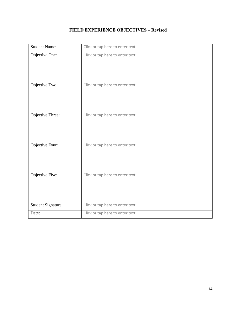# **FIELD EXPERIENCE OBJECTIVES – Revised**

| <b>Student Name:</b> | Click or tap here to enter text. |
|----------------------|----------------------------------|
| Objective One:       | Click or tap here to enter text. |
| Objective Two:       | Click or tap here to enter text. |
| Objective Three:     | Click or tap here to enter text. |
| Objective Four:      | Click or tap here to enter text. |
| Objective Five:      | Click or tap here to enter text. |
| Student Signature:   | Click or tap here to enter text. |
| Date:                | Click or tap here to enter text. |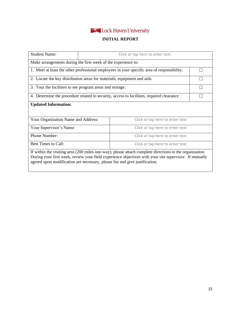

## **INITIAL REPORT**

| <b>Student Name:</b>                                                                                                                                                                                                                                                                             | Click or tap here to enter text.                                        |                                  |  |  |  |
|--------------------------------------------------------------------------------------------------------------------------------------------------------------------------------------------------------------------------------------------------------------------------------------------------|-------------------------------------------------------------------------|----------------------------------|--|--|--|
|                                                                                                                                                                                                                                                                                                  | Make arrangements during the first week of the experience to:           |                                  |  |  |  |
| 1. Meet at least the other professional employees in your specific area of responsibility.                                                                                                                                                                                                       |                                                                         |                                  |  |  |  |
|                                                                                                                                                                                                                                                                                                  | 2. Locate the key distribution areas for materials, equipment and aids. |                                  |  |  |  |
| 3. Tour the facilities to see program areas and storage.                                                                                                                                                                                                                                         |                                                                         |                                  |  |  |  |
| 4. Determine the procedure related to security, access to facilities, required clearance                                                                                                                                                                                                         |                                                                         |                                  |  |  |  |
| <b>Updated Information:</b>                                                                                                                                                                                                                                                                      |                                                                         |                                  |  |  |  |
| Your Organization Name and Address:                                                                                                                                                                                                                                                              |                                                                         | Click or tap here to enter text. |  |  |  |
| Your Supervisor's Name:                                                                                                                                                                                                                                                                          |                                                                         | Click or tap here to enter text. |  |  |  |
| Phone Number:                                                                                                                                                                                                                                                                                    |                                                                         | Click or tap here to enter text. |  |  |  |
| <b>Best Times to Call:</b><br>Click or tap here to enter text.                                                                                                                                                                                                                                   |                                                                         |                                  |  |  |  |
| If within the visiting area (200 miles one-way), please attach complete directions to the organization.<br>During your first week, review your field experience objectives with your site supervisor. If mutually<br>agreed upon modification are necessary, please list and give justification. |                                                                         |                                  |  |  |  |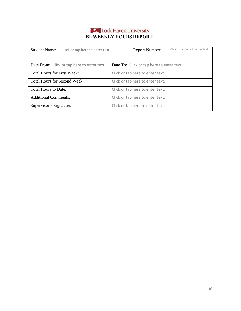## Lock Haven University **BI-WEEKLY HOURS REPORT**

| <b>Student Name:</b>                | Click or tap here to enter text.            |                                  | <b>Report Number:</b>                     | Click or tap here to enter text. |
|-------------------------------------|---------------------------------------------|----------------------------------|-------------------------------------------|----------------------------------|
|                                     |                                             |                                  |                                           |                                  |
|                                     | Date From: Click or tap here to enter text. |                                  | Date To: Click or tap here to enter text. |                                  |
| <b>Total Hours for First Week:</b>  |                                             | Click or tap here to enter text. |                                           |                                  |
| <b>Total Hours for Second Week:</b> |                                             | Click or tap here to enter text. |                                           |                                  |
| <b>Total Hours to Date:</b>         |                                             | Click or tap here to enter text. |                                           |                                  |
| <b>Additional Comments:</b>         |                                             |                                  | Click or tap here to enter text.          |                                  |
| Supervisor's Signature:             |                                             |                                  | Click or tap here to enter text.          |                                  |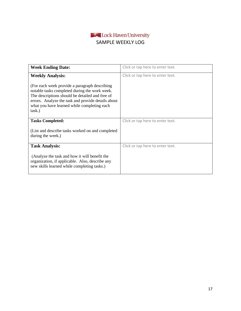<span id="page-16-0"></span>

| <b>Week Ending Date:</b>                                                                                                                                                                                                                                          | Click or tap here to enter text. |
|-------------------------------------------------------------------------------------------------------------------------------------------------------------------------------------------------------------------------------------------------------------------|----------------------------------|
| <b>Weekly Analysis:</b>                                                                                                                                                                                                                                           | Click or tap here to enter text. |
| (For each week provide a paragraph describing)<br>notable tasks completed during the work week.<br>The descriptions should be detailed and free of<br>errors. Analyze the task and provide details about<br>what you have learned while completing each<br>task.) |                                  |
| <b>Tasks Completed:</b>                                                                                                                                                                                                                                           | Click or tap here to enter text. |
| (List and describe tasks worked on and completed)<br>during the week.)                                                                                                                                                                                            |                                  |
| <b>Task Analysis:</b>                                                                                                                                                                                                                                             | Click or tap here to enter text. |
| (Analyze the task and how it will benefit the<br>organization, if applicable. Also, describe any<br>new skills learned while completing tasks.)                                                                                                                   |                                  |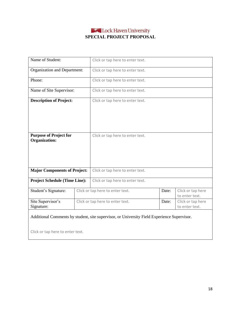## Lock Haven University **SPECIAL PROJECT PROPOSAL**

<span id="page-17-0"></span>

| Name of Student:                                      |  | Click or tap here to enter text. |       |                                     |
|-------------------------------------------------------|--|----------------------------------|-------|-------------------------------------|
| Organization and Department:                          |  | Click or tap here to enter text. |       |                                     |
| Phone:                                                |  | Click or tap here to enter text. |       |                                     |
| Name of Site Supervisor:                              |  | Click or tap here to enter text. |       |                                     |
| <b>Description of Project:</b>                        |  | Click or tap here to enter text. |       |                                     |
| <b>Purpose of Project for</b><br><b>Organization:</b> |  | Click or tap here to enter text. |       |                                     |
| <b>Major Components of Project:</b>                   |  | Click or tap here to enter text. |       |                                     |
| <b>Project Schedule (Time Line):</b>                  |  | Click or tap here to enter text. |       |                                     |
| Student's Signature:                                  |  | Click or tap here to enter text. | Date: | Click or tap here<br>to enter text. |
| Site Supervisor's<br>Signature:                       |  | Click or tap here to enter text. | Date: | Click or tap here<br>to enter text. |

## Additional Comments by student, site supervisor, or University Field Experience Supervisor.

Click or tap here to enter text.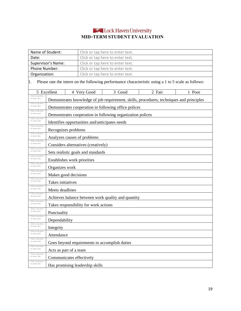# Lock Haven University **MID-TERM STUDENT EVALUATION**

<span id="page-18-0"></span>

|                                                          | Name of Student:<br>Click or tap here to enter text.   |  |                                                |                                                                                                     |        |        |  |
|----------------------------------------------------------|--------------------------------------------------------|--|------------------------------------------------|-----------------------------------------------------------------------------------------------------|--------|--------|--|
| Date:                                                    | Click or tap here to enter text.                       |  |                                                |                                                                                                     |        |        |  |
|                                                          | Supervisor's Name:<br>Click or tap here to enter text. |  |                                                |                                                                                                     |        |        |  |
| Phone Number:                                            | Click or tap here to enter text.                       |  |                                                |                                                                                                     |        |        |  |
|                                                          | Organization:<br>Click or tap here to enter text.      |  |                                                |                                                                                                     |        |        |  |
| 1.                                                       |                                                        |  |                                                | Please rate the intern on the following performance characteristic using a 1 to 5 scale as follows: |        |        |  |
|                                                          | 5 Excellent                                            |  | 4 Very Good                                    | 3 Good                                                                                              | 2 Fair | 1 Poor |  |
| Click or tap here<br>to enter text.                      |                                                        |  |                                                | Demonstrates knowledge of job requirement, skills, procedures, techniques and principles            |        |        |  |
| Click or tap here<br>to enter text.                      |                                                        |  |                                                | Demonstrates cooperation in following office polices                                                |        |        |  |
| Click or tap here<br>to enter text.                      |                                                        |  |                                                | Demonstrates cooperation in following organization polices                                          |        |        |  |
| Click or tap here<br>to enter text.                      |                                                        |  | Identifies opportunities and/anticipates needs |                                                                                                     |        |        |  |
| Click or tap here<br>to enter text.                      | Recognizes problems                                    |  |                                                |                                                                                                     |        |        |  |
| Click or tap here<br>to enter text.                      |                                                        |  | Analyzes causes of problems                    |                                                                                                     |        |        |  |
| Click or tap here<br>to enter text.                      |                                                        |  | Considers alternatives (creatively)            |                                                                                                     |        |        |  |
| Click or tap here<br>to enter text.                      | Sets realistic goals and standards                     |  |                                                |                                                                                                     |        |        |  |
| Click or tap here<br>to enter text.                      | Establishes work priorities                            |  |                                                |                                                                                                     |        |        |  |
| Click or tap here<br>to enter text.                      | Organizes work                                         |  |                                                |                                                                                                     |        |        |  |
| Click or tap here<br>to enter text.                      | Makes good decisions                                   |  |                                                |                                                                                                     |        |        |  |
| Click or tap here<br>to enter text.                      | Takes initiatives                                      |  |                                                |                                                                                                     |        |        |  |
| Click or tap here<br>to enter text.<br>Click or tap here | Meets deadlines                                        |  |                                                |                                                                                                     |        |        |  |
| to enter text.<br>Click or tap here                      | Achieves balance between work quality and quantity     |  |                                                |                                                                                                     |        |        |  |
| to enter text.<br>Click or tap here                      |                                                        |  | Takes responsibility for work actions          |                                                                                                     |        |        |  |
| to enter text.<br>Click or tap here                      | Punctuality                                            |  |                                                |                                                                                                     |        |        |  |
| to enter text.<br>Click or tap here                      | Dependability                                          |  |                                                |                                                                                                     |        |        |  |
| to enter text.<br>Click or tap here                      | Integrity                                              |  |                                                |                                                                                                     |        |        |  |
| to enter text.<br>Click or tap here                      | Attendance                                             |  |                                                |                                                                                                     |        |        |  |
| to enter text.<br>Click or tap here                      |                                                        |  |                                                | Goes beyond requirements to accomplish duties                                                       |        |        |  |
| to enter text.<br>Click or tap here                      | Acts as part of a team                                 |  |                                                |                                                                                                     |        |        |  |
| to enter text.<br>Click or tap here                      | Communicates effectively                               |  |                                                |                                                                                                     |        |        |  |
| to enter text.                                           |                                                        |  | Has promising leadership skills                |                                                                                                     |        |        |  |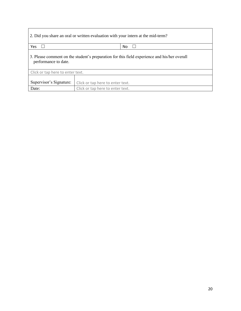| 2. Did you share an oral or written evaluation with your intern at the mid-term?                                     |                                  |  |  |  |  |
|----------------------------------------------------------------------------------------------------------------------|----------------------------------|--|--|--|--|
| Yes<br>No.<br>$\mathsf{L}$                                                                                           |                                  |  |  |  |  |
| 3. Please comment on the student's preparation for this field experience and his/her overall<br>performance to date. |                                  |  |  |  |  |
| Click or tap here to enter text.                                                                                     |                                  |  |  |  |  |
| Supervisor's Signature:                                                                                              | Click or tap here to enter text. |  |  |  |  |
| Date:                                                                                                                | Click or tap here to enter text. |  |  |  |  |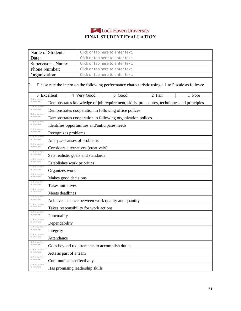# Lock Haven University **FINAL STUDENT EVALUATION**

| Name of Student:                                                                                          |                                                            | Click or tap here to enter text. |                                                                                          |        |        |  |
|-----------------------------------------------------------------------------------------------------------|------------------------------------------------------------|----------------------------------|------------------------------------------------------------------------------------------|--------|--------|--|
| Date:                                                                                                     |                                                            | Click or tap here to enter text. |                                                                                          |        |        |  |
| Supervisor's Name:                                                                                        |                                                            | Click or tap here to enter text. |                                                                                          |        |        |  |
| Phone Number:                                                                                             |                                                            | Click or tap here to enter text. |                                                                                          |        |        |  |
| Organization:                                                                                             |                                                            | Click or tap here to enter text. |                                                                                          |        |        |  |
| Please rate the intern on the following performance characteristic using a 1 to 5 scale as follows:<br>2. |                                                            |                                  |                                                                                          |        |        |  |
|                                                                                                           | 5 Excellent                                                | 4 Very Good                      | 3 Good                                                                                   | 2 Fair | 1 Poor |  |
| Click or tap here<br>to enter text.                                                                       |                                                            |                                  | Demonstrates knowledge of job requirement, skills, procedures, techniques and principles |        |        |  |
| Click or tap here<br>to enter text.                                                                       | Demonstrates cooperation in following office polices       |                                  |                                                                                          |        |        |  |
| Click or tap here<br>to enter text.                                                                       | Demonstrates cooperation in following organization polices |                                  |                                                                                          |        |        |  |
| Click or tap here<br>to enter text.                                                                       | Identifies opportunities and/anticipates needs             |                                  |                                                                                          |        |        |  |
| Click or tap here<br>to enter text.<br>Click or tap here                                                  | Recognizes problems                                        |                                  |                                                                                          |        |        |  |
| to enter text.<br>Click or tap here                                                                       | Analyzes causes of problems                                |                                  |                                                                                          |        |        |  |
| to enter text.<br>Click or tap here                                                                       | Considers alternatives (creatively)                        |                                  |                                                                                          |        |        |  |
| to enter text.<br>Click or tap here                                                                       | Sets realistic goals and standards                         |                                  |                                                                                          |        |        |  |
| to enter text.<br>Click or tap here                                                                       | Establishes work priorities                                |                                  |                                                                                          |        |        |  |
| to enter text.<br>Click or tap here                                                                       | Organizes work                                             |                                  |                                                                                          |        |        |  |
| to enter text.<br>Click or tap here                                                                       | Makes good decisions                                       |                                  |                                                                                          |        |        |  |
| to enter text.<br>Click or tap here                                                                       | Takes initiatives                                          |                                  |                                                                                          |        |        |  |
| to enter text.<br>Click or tap here                                                                       | Meets deadlines                                            |                                  |                                                                                          |        |        |  |
| to enter text.<br>Click or tap here                                                                       | Achieves balance between work quality and quantity         |                                  |                                                                                          |        |        |  |
| to enter text.<br>Click or tap here                                                                       | Takes responsibility for work actions                      |                                  |                                                                                          |        |        |  |
| to enter text.<br>Click or tap here                                                                       | Punctuality                                                |                                  |                                                                                          |        |        |  |
| to enter text.<br>Click or tap here                                                                       | Dependability                                              |                                  |                                                                                          |        |        |  |
| to enter text.<br>Click or tap here                                                                       | Integrity                                                  |                                  |                                                                                          |        |        |  |
| to enter text.<br>Click or tap here                                                                       | Attendance                                                 |                                  |                                                                                          |        |        |  |
| to enter text.<br>Click or tap here                                                                       | Goes beyond requirements to accomplish duties              |                                  |                                                                                          |        |        |  |
| to enter text.<br>Click or tap here                                                                       | Acts as part of a team                                     |                                  |                                                                                          |        |        |  |
| to enter text.<br>Click or tap here                                                                       | Communicates effectively                                   |                                  |                                                                                          |        |        |  |
| to enter text.                                                                                            | Has promising leadership skills                            |                                  |                                                                                          |        |        |  |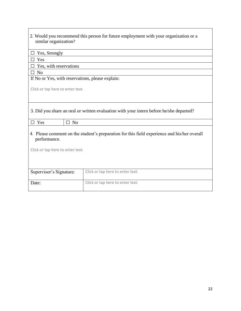| 2. Would you recommend this person for future employment with your organization or a<br>similar organization? |                                  |  |  |  |  |  |
|---------------------------------------------------------------------------------------------------------------|----------------------------------|--|--|--|--|--|
| Yes, Strongly                                                                                                 |                                  |  |  |  |  |  |
| Yes                                                                                                           |                                  |  |  |  |  |  |
| Yes, with reservations                                                                                        |                                  |  |  |  |  |  |
| $\square$ No                                                                                                  |                                  |  |  |  |  |  |
| If No or Yes, with reservations, please explain:                                                              |                                  |  |  |  |  |  |
| Click or tap here to enter text.                                                                              |                                  |  |  |  |  |  |
| 3. Did you share an oral or written evaluation with your intern before he/she departed?                       |                                  |  |  |  |  |  |
| $\Box$ No<br>$\Box$ Yes                                                                                       |                                  |  |  |  |  |  |
| 4. Please comment on the student's preparation for this field experience and his/her overall<br>performance.  |                                  |  |  |  |  |  |
| Click or tap here to enter text.                                                                              |                                  |  |  |  |  |  |
|                                                                                                               |                                  |  |  |  |  |  |
| Supervisor's Signature:                                                                                       | Click or tap here to enter text. |  |  |  |  |  |
| Date:                                                                                                         | Click or tap here to enter text. |  |  |  |  |  |